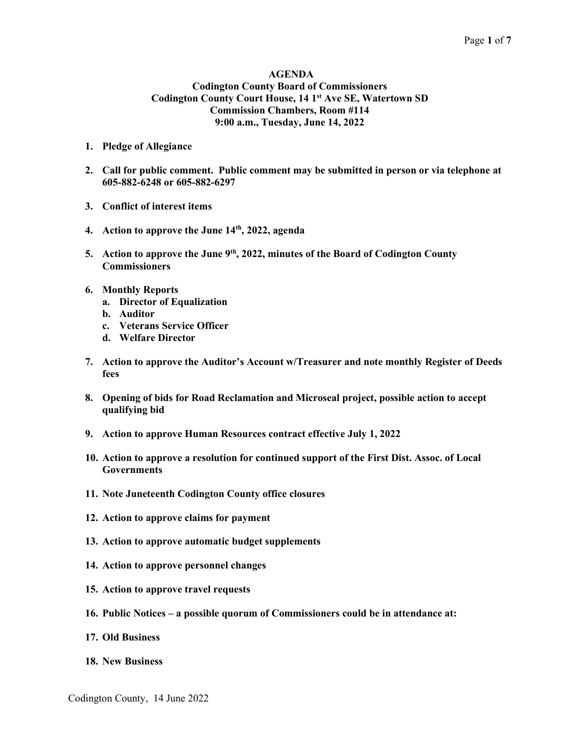#### AGENDA Codington County Board of Commissioners Codington County Court House, 14 1<sup>st</sup> Ave SE, Watertown SD Commission Chambers, Room #114 9:00 a.m., Tuesday, June 14, 2022

- 1. Pledge of Allegiance
- 2. Call for public comment. Public comment may be submitted in person or via telephone at 605-882-6248 or 605-882-6297
- 3. Conflict of interest items
- 4. Action to approve the June  $14<sup>th</sup>$ , 2022, agenda
- 5. Action to approve the June 9<sup>th</sup>, 2022, minutes of the Board of Codington County **Commissioners**
- 6. Monthly Reports
	- a. Director of Equalization
	- b. Auditor
	- c. Veterans Service Officer
	- d. Welfare Director
- 7. Action to approve the Auditor's Account w/Treasurer and note monthly Register of Deeds fees
- 8. Opening of bids for Road Reclamation and Microseal project, possible action to accept qualifying bid
- 9. Action to approve Human Resources contract effective July 1, 2022
- 10. Action to approve a resolution for continued support of the First Dist. Assoc. of Local Governments
- 11. Note Juneteenth Codington County office closures
- 12. Action to approve claims for payment
- 13. Action to approve automatic budget supplements
- 14. Action to approve personnel changes
- 15. Action to approve travel requests
- 16. Public Notices a possible quorum of Commissioners could be in attendance at:
- 17. Old Business
- 18. New Business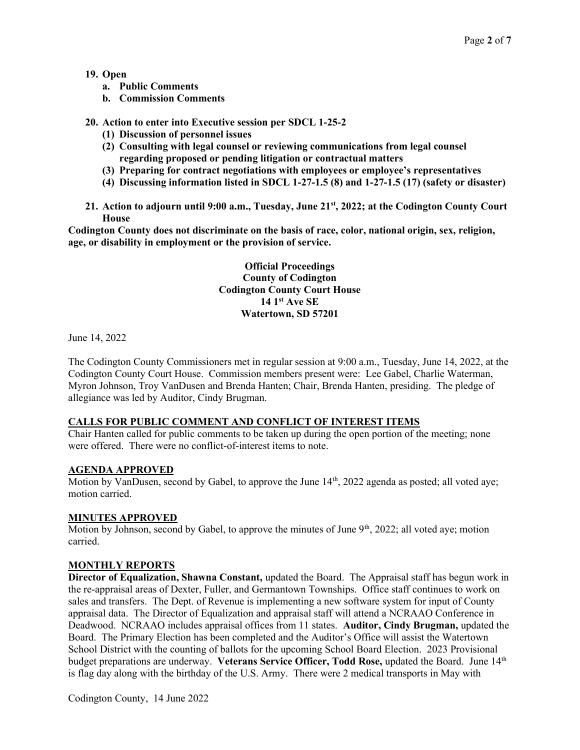#### 19. Open

- a. Public Comments
- b. Commission Comments
- 20. Action to enter into Executive session per SDCL 1-25-2
	- (1) Discussion of personnel issues
	- (2) Consulting with legal counsel or reviewing communications from legal counsel regarding proposed or pending litigation or contractual matters
	- (3) Preparing for contract negotiations with employees or employee's representatives
	- (4) Discussing information listed in SDCL 1-27-1.5 (8) and 1-27-1.5 (17) (safety or disaster)
- 21. Action to adjourn until 9:00 a.m., Tuesday, June 21<sup>st</sup>, 2022; at the Codington County Court House

Codington County does not discriminate on the basis of race, color, national origin, sex, religion, age, or disability in employment or the provision of service.

> Official Proceedings County of Codington Codington County Court House  $14 \,$  1st Ave SE Watertown, SD 57201

June 14, 2022

The Codington County Commissioners met in regular session at 9:00 a.m., Tuesday, June 14, 2022, at the Codington County Court House. Commission members present were: Lee Gabel, Charlie Waterman, Myron Johnson, Troy VanDusen and Brenda Hanten; Chair, Brenda Hanten, presiding. The pledge of allegiance was led by Auditor, Cindy Brugman.

#### CALLS FOR PUBLIC COMMENT AND CONFLICT OF INTEREST ITEMS

Chair Hanten called for public comments to be taken up during the open portion of the meeting; none were offered. There were no conflict-of-interest items to note.

#### AGENDA APPROVED

Motion by VanDusen, second by Gabel, to approve the June  $14<sup>th</sup>$ , 2022 agenda as posted; all voted aye; motion carried.

## MINUTES APPROVED

Motion by Johnson, second by Gabel, to approve the minutes of June  $9<sup>th</sup>$ , 2022; all voted aye; motion carried.

#### MONTHLY REPORTS

Director of Equalization, Shawna Constant, updated the Board. The Appraisal staff has begun work in the re-appraisal areas of Dexter, Fuller, and Germantown Townships. Office staff continues to work on sales and transfers. The Dept. of Revenue is implementing a new software system for input of County appraisal data. The Director of Equalization and appraisal staff will attend a NCRAAO Conference in Deadwood. NCRAAO includes appraisal offices from 11 states. Auditor, Cindy Brugman, updated the Board. The Primary Election has been completed and the Auditor's Office will assist the Watertown School District with the counting of ballots for the upcoming School Board Election. 2023 Provisional budget preparations are underway. Veterans Service Officer, Todd Rose, updated the Board. June 14<sup>th</sup> is flag day along with the birthday of the U.S. Army. There were 2 medical transports in May with

Codington County, 14 June 2022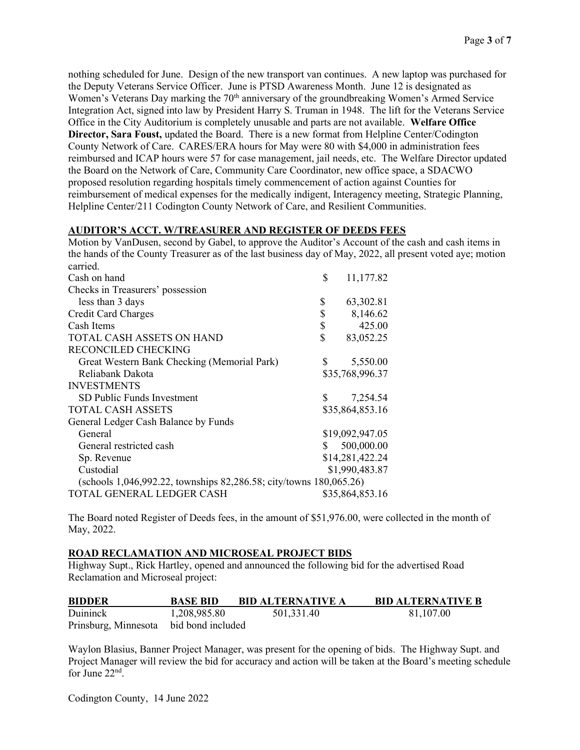nothing scheduled for June. Design of the new transport van continues. A new laptop was purchased for the Deputy Veterans Service Officer. June is PTSD Awareness Month. June 12 is designated as Women's Veterans Day marking the 70<sup>th</sup> anniversary of the groundbreaking Women's Armed Service Integration Act, signed into law by President Harry S. Truman in 1948. The lift for the Veterans Service Office in the City Auditorium is completely unusable and parts are not available. Welfare Office Director, Sara Foust, updated the Board. There is a new format from Helpline Center/Codington County Network of Care. CARES/ERA hours for May were 80 with \$4,000 in administration fees reimbursed and ICAP hours were 57 for case management, jail needs, etc. The Welfare Director updated the Board on the Network of Care, Community Care Coordinator, new office space, a SDACWO proposed resolution regarding hospitals timely commencement of action against Counties for reimbursement of medical expenses for the medically indigent, Interagency meeting, Strategic Planning, Helpline Center/211 Codington County Network of Care, and Resilient Communities.

#### AUDITOR'S ACCT. W/TREASURER AND REGISTER OF DEEDS FEES

Motion by VanDusen, second by Gabel, to approve the Auditor's Account of the cash and cash items in the hands of the County Treasurer as of the last business day of May, 2022, all present voted aye; motion carried.

| Can Ru                                                             |    |                 |  |  |
|--------------------------------------------------------------------|----|-----------------|--|--|
| Cash on hand                                                       | \$ | 11,177.82       |  |  |
| Checks in Treasurers' possession                                   |    |                 |  |  |
| less than 3 days                                                   | \$ | 63,302.81       |  |  |
| <b>Credit Card Charges</b>                                         | \$ | 8,146.62        |  |  |
| Cash Items                                                         | \$ | 425.00          |  |  |
| TOTAL CASH ASSETS ON HAND                                          | \$ | 83,052.25       |  |  |
| RECONCILED CHECKING                                                |    |                 |  |  |
| Great Western Bank Checking (Memorial Park)                        | S  | 5,550.00        |  |  |
| Reliabank Dakota                                                   |    | \$35,768,996.37 |  |  |
| <b>INVESTMENTS</b>                                                 |    |                 |  |  |
| SD Public Funds Investment                                         | S. | 7,254.54        |  |  |
| <b>TOTAL CASH ASSETS</b>                                           |    | \$35,864,853.16 |  |  |
| General Ledger Cash Balance by Funds                               |    |                 |  |  |
| General                                                            |    | \$19,092,947.05 |  |  |
| General restricted cash                                            | S. | 500,000.00      |  |  |
| Sp. Revenue                                                        |    | \$14,281,422.24 |  |  |
| Custodial                                                          |    | \$1,990,483.87  |  |  |
| (schools 1,046,992.22, townships 82,286.58; city/towns 180,065.26) |    |                 |  |  |
| TOTAL GENERAL LEDGER CASH                                          |    | \$35,864,853.16 |  |  |

The Board noted Register of Deeds fees, in the amount of \$51,976.00, were collected in the month of May, 2022.

#### ROAD RECLAMATION AND MICROSEAL PROJECT BIDS

Highway Supt., Rick Hartley, opened and announced the following bid for the advertised Road Reclamation and Microseal project:

| <b>BIDDER</b>                          | <b>BASE BID</b> | <b>BID ALTERNATIVE A</b> | <b>BID ALTERNATIVE B</b> |
|----------------------------------------|-----------------|--------------------------|--------------------------|
| <b>Duininck</b>                        | 1,208,985.80    | 501,331.40               | 81.107.00                |
| Prinsburg, Minnesota bid bond included |                 |                          |                          |

Waylon Blasius, Banner Project Manager, was present for the opening of bids. The Highway Supt. and Project Manager will review the bid for accuracy and action will be taken at the Board's meeting schedule for June 22<sup>nd</sup>.

Codington County, 14 June 2022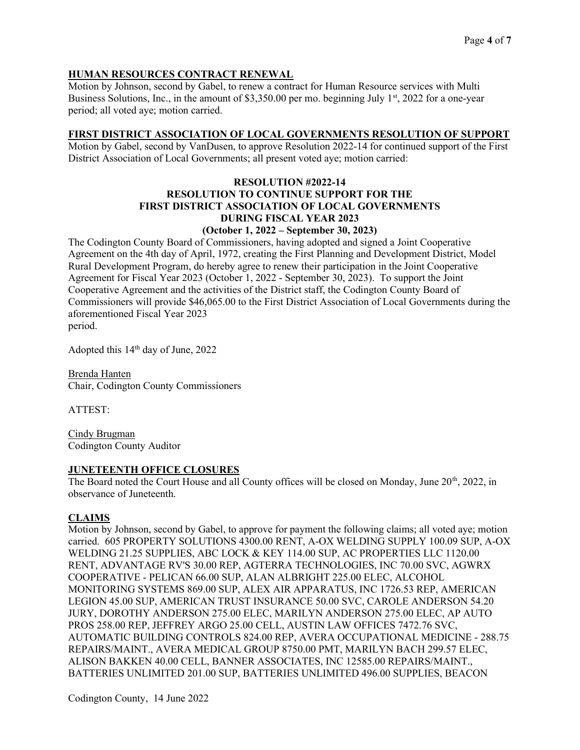## HUMAN RESOURCES CONTRACT RENEWAL

Motion by Johnson, second by Gabel, to renew a contract for Human Resource services with Multi Business Solutions, Inc., in the amount of \$3,350.00 per mo. beginning July  $1<sup>st</sup>$ , 2022 for a one-year period; all voted aye; motion carried.

#### FIRST DISTRICT ASSOCIATION OF LOCAL GOVERNMENTS RESOLUTION OF SUPPORT

Motion by Gabel, second by VanDusen, to approve Resolution 2022-14 for continued support of the First District Association of Local Governments; all present voted aye; motion carried:

# RESOLUTION #2022-14 RESOLUTION TO CONTINUE SUPPORT FOR THE FIRST DISTRICT ASSOCIATION OF LOCAL GOVERNMENTS DURING FISCAL YEAR 2023

## (October 1, 2022 – September 30, 2023)

The Codington County Board of Commissioners, having adopted and signed a Joint Cooperative Agreement on the 4th day of April, 1972, creating the First Planning and Development District, Model Rural Development Program, do hereby agree to renew their participation in the Joint Cooperative Agreement for Fiscal Year 2023 (October 1, 2022 - September 30, 2023). To support the Joint Cooperative Agreement and the activities of the District staff, the Codington County Board of Commissioners will provide \$46,065.00 to the First District Association of Local Governments during the aforementioned Fiscal Year 2023

period.

Adopted this  $14<sup>th</sup>$  day of June, 2022

Brenda Hanten Chair, Codington County Commissioners

ATTEST:

Cindy Brugman Codington County Auditor

#### JUNETEENTH OFFICE CLOSURES

The Board noted the Court House and all County offices will be closed on Monday, June 20<sup>th</sup>, 2022, in observance of Juneteenth.

#### CLAIMS

Motion by Johnson, second by Gabel, to approve for payment the following claims; all voted aye; motion carried. 605 PROPERTY SOLUTIONS 4300.00 RENT, A-OX WELDING SUPPLY 100.09 SUP, A-OX WELDING 21.25 SUPPLIES, ABC LOCK & KEY 114.00 SUP, AC PROPERTIES LLC 1120.00 RENT, ADVANTAGE RV'S 30.00 REP, AGTERRA TECHNOLOGIES, INC 70.00 SVC, AGWRX COOPERATIVE - PELICAN 66.00 SUP, ALAN ALBRIGHT 225.00 ELEC, ALCOHOL MONITORING SYSTEMS 869.00 SUP, ALEX AIR APPARATUS, INC 1726.53 REP, AMERICAN LEGION 45.00 SUP, AMERICAN TRUST INSURANCE 50.00 SVC, CAROLE ANDERSON 54.20 JURY, DOROTHY ANDERSON 275.00 ELEC, MARILYN ANDERSON 275.00 ELEC, AP AUTO PROS 258.00 REP, JEFFREY ARGO 25.00 CELL, AUSTIN LAW OFFICES 7472.76 SVC, AUTOMATIC BUILDING CONTROLS 824.00 REP, AVERA OCCUPATIONAL MEDICINE - 288.75 REPAIRS/MAINT., AVERA MEDICAL GROUP 8750.00 PMT, MARILYN BACH 299.57 ELEC, ALISON BAKKEN 40.00 CELL, BANNER ASSOCIATES, INC 12585.00 REPAIRS/MAINT., BATTERIES UNLIMITED 201.00 SUP, BATTERIES UNLIMITED 496.00 SUPPLIES, BEACON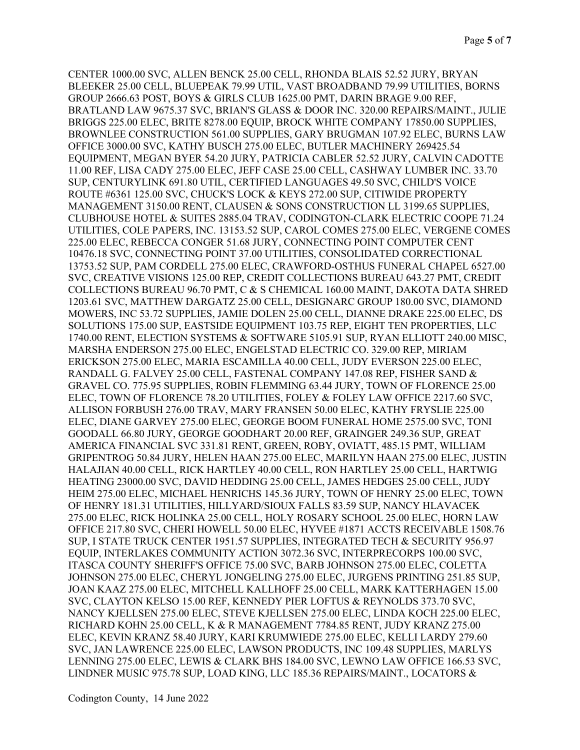CENTER 1000.00 SVC, ALLEN BENCK 25.00 CELL, RHONDA BLAIS 52.52 JURY, BRYAN BLEEKER 25.00 CELL, BLUEPEAK 79.99 UTIL, VAST BROADBAND 79.99 UTILITIES, BORNS GROUP 2666.63 POST, BOYS & GIRLS CLUB 1625.00 PMT, DARIN BRAGE 9.00 REF, BRATLAND LAW 9675.37 SVC, BRIAN'S GLASS & DOOR INC. 320.00 REPAIRS/MAINT., JULIE BRIGGS 225.00 ELEC, BRITE 8278.00 EQUIP, BROCK WHITE COMPANY 17850.00 SUPPLIES, BROWNLEE CONSTRUCTION 561.00 SUPPLIES, GARY BRUGMAN 107.92 ELEC, BURNS LAW OFFICE 3000.00 SVC, KATHY BUSCH 275.00 ELEC, BUTLER MACHINERY 269425.54 EQUIPMENT, MEGAN BYER 54.20 JURY, PATRICIA CABLER 52.52 JURY, CALVIN CADOTTE 11.00 REF, LISA CADY 275.00 ELEC, JEFF CASE 25.00 CELL, CASHWAY LUMBER INC. 33.70 SUP, CENTURYLINK 691.80 UTIL, CERTIFIED LANGUAGES 49.50 SVC, CHILD'S VOICE ROUTE #6361 125.00 SVC, CHUCK'S LOCK & KEYS 272.00 SUP, CITIWIDE PROPERTY MANAGEMENT 3150.00 RENT, CLAUSEN & SONS CONSTRUCTION LL 3199.65 SUPPLIES, CLUBHOUSE HOTEL & SUITES 2885.04 TRAV, CODINGTON-CLARK ELECTRIC COOPE 71.24 UTILITIES, COLE PAPERS, INC. 13153.52 SUP, CAROL COMES 275.00 ELEC, VERGENE COMES 225.00 ELEC, REBECCA CONGER 51.68 JURY, CONNECTING POINT COMPUTER CENT 10476.18 SVC, CONNECTING POINT 37.00 UTILITIES, CONSOLIDATED CORRECTIONAL 13753.52 SUP, PAM CORDELL 275.00 ELEC, CRAWFORD-OSTHUS FUNERAL CHAPEL 6527.00 SVC, CREATIVE VISIONS 125.00 REP, CREDIT COLLECTIONS BUREAU 643.27 PMT, CREDIT COLLECTIONS BUREAU 96.70 PMT, C & S CHEMICAL 160.00 MAINT, DAKOTA DATA SHRED 1203.61 SVC, MATTHEW DARGATZ 25.00 CELL, DESIGNARC GROUP 180.00 SVC, DIAMOND MOWERS, INC 53.72 SUPPLIES, JAMIE DOLEN 25.00 CELL, DIANNE DRAKE 225.00 ELEC, DS SOLUTIONS 175.00 SUP, EASTSIDE EQUIPMENT 103.75 REP, EIGHT TEN PROPERTIES, LLC 1740.00 RENT, ELECTION SYSTEMS & SOFTWARE 5105.91 SUP, RYAN ELLIOTT 240.00 MISC, MARSHA ENDERSON 275.00 ELEC, ENGELSTAD ELECTRIC CO. 329.00 REP, MIRIAM ERICKSON 275.00 ELEC, MARIA ESCAMILLA 40.00 CELL, JUDY EVERSON 225.00 ELEC, RANDALL G. FALVEY 25.00 CELL, FASTENAL COMPANY 147.08 REP, FISHER SAND & GRAVEL CO. 775.95 SUPPLIES, ROBIN FLEMMING 63.44 JURY, TOWN OF FLORENCE 25.00 ELEC, TOWN OF FLORENCE 78.20 UTILITIES, FOLEY & FOLEY LAW OFFICE 2217.60 SVC, ALLISON FORBUSH 276.00 TRAV, MARY FRANSEN 50.00 ELEC, KATHY FRYSLIE 225.00 ELEC, DIANE GARVEY 275.00 ELEC, GEORGE BOOM FUNERAL HOME 2575.00 SVC, TONI GOODALL 66.80 JURY, GEORGE GOODHART 20.00 REF, GRAINGER 249.36 SUP, GREAT AMERICA FINANCIAL SVC 331.81 RENT, GREEN, ROBY, OVIATT, 485.15 PMT, WILLIAM GRIPENTROG 50.84 JURY, HELEN HAAN 275.00 ELEC, MARILYN HAAN 275.00 ELEC, JUSTIN HALAJIAN 40.00 CELL, RICK HARTLEY 40.00 CELL, RON HARTLEY 25.00 CELL, HARTWIG HEATING 23000.00 SVC, DAVID HEDDING 25.00 CELL, JAMES HEDGES 25.00 CELL, JUDY HEIM 275.00 ELEC, MICHAEL HENRICHS 145.36 JURY, TOWN OF HENRY 25.00 ELEC, TOWN OF HENRY 181.31 UTILITIES, HILLYARD/SIOUX FALLS 83.59 SUP, NANCY HLAVACEK 275.00 ELEC, RICK HOLINKA 25.00 CELL, HOLY ROSARY SCHOOL 25.00 ELEC, HORN LAW OFFICE 217.80 SVC, CHERI HOWELL 50.00 ELEC, HYVEE #1871 ACCTS RECEIVABLE 1508.76 SUP, I STATE TRUCK CENTER 1951.57 SUPPLIES, INTEGRATED TECH & SECURITY 956.97 EQUIP, INTERLAKES COMMUNITY ACTION 3072.36 SVC, INTERPRECORPS 100.00 SVC, ITASCA COUNTY SHERIFF'S OFFICE 75.00 SVC, BARB JOHNSON 275.00 ELEC, COLETTA JOHNSON 275.00 ELEC, CHERYL JONGELING 275.00 ELEC, JURGENS PRINTING 251.85 SUP, JOAN KAAZ 275.00 ELEC, MITCHELL KALLHOFF 25.00 CELL, MARK KATTERHAGEN 15.00 SVC, CLAYTON KELSO 15.00 REF, KENNEDY PIER LOFTUS & REYNOLDS 373.70 SVC, NANCY KJELLSEN 275.00 ELEC, STEVE KJELLSEN 275.00 ELEC, LINDA KOCH 225.00 ELEC, RICHARD KOHN 25.00 CELL, K & R MANAGEMENT 7784.85 RENT, JUDY KRANZ 275.00 ELEC, KEVIN KRANZ 58.40 JURY, KARI KRUMWIEDE 275.00 ELEC, KELLI LARDY 279.60 SVC, JAN LAWRENCE 225.00 ELEC, LAWSON PRODUCTS, INC 109.48 SUPPLIES, MARLYS LENNING 275.00 ELEC, LEWIS & CLARK BHS 184.00 SVC, LEWNO LAW OFFICE 166.53 SVC, LINDNER MUSIC 975.78 SUP, LOAD KING, LLC 185.36 REPAIRS/MAINT., LOCATORS &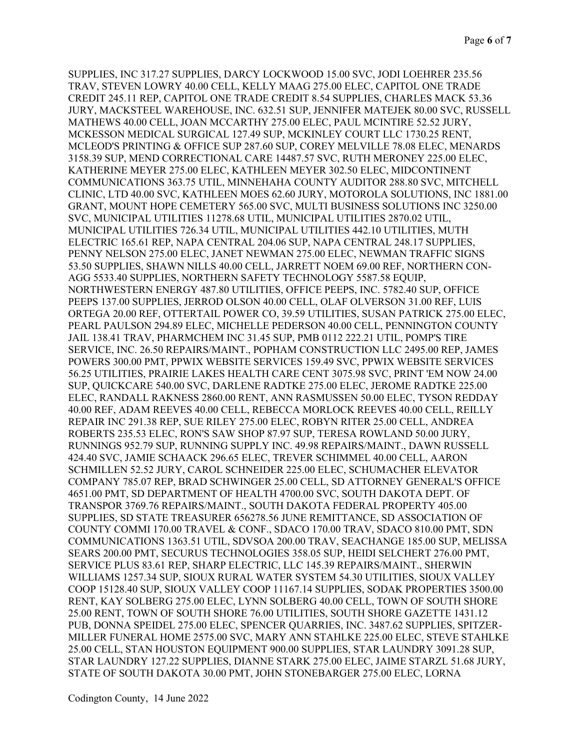SUPPLIES, INC 317.27 SUPPLIES, DARCY LOCKWOOD 15.00 SVC, JODI LOEHRER 235.56 TRAV, STEVEN LOWRY 40.00 CELL, KELLY MAAG 275.00 ELEC, CAPITOL ONE TRADE CREDIT 245.11 REP, CAPITOL ONE TRADE CREDIT 8.54 SUPPLIES, CHARLES MACK 53.36 JURY, MACKSTEEL WAREHOUSE, INC. 632.51 SUP, JENNIFER MATEJEK 80.00 SVC, RUSSELL MATHEWS 40.00 CELL, JOAN MCCARTHY 275.00 ELEC, PAUL MCINTIRE 52.52 JURY, MCKESSON MEDICAL SURGICAL 127.49 SUP, MCKINLEY COURT LLC 1730.25 RENT, MCLEOD'S PRINTING & OFFICE SUP 287.60 SUP, COREY MELVILLE 78.08 ELEC, MENARDS 3158.39 SUP, MEND CORRECTIONAL CARE 14487.57 SVC, RUTH MERONEY 225.00 ELEC, KATHERINE MEYER 275.00 ELEC, KATHLEEN MEYER 302.50 ELEC, MIDCONTINENT COMMUNICATIONS 363.75 UTIL, MINNEHAHA COUNTY AUDITOR 288.80 SVC, MITCHELL CLINIC, LTD 40.00 SVC, KATHLEEN MOES 62.60 JURY, MOTOROLA SOLUTIONS, INC 1881.00 GRANT, MOUNT HOPE CEMETERY 565.00 SVC, MULTI BUSINESS SOLUTIONS INC 3250.00 SVC, MUNICIPAL UTILITIES 11278.68 UTIL, MUNICIPAL UTILITIES 2870.02 UTIL, MUNICIPAL UTILITIES 726.34 UTIL, MUNICIPAL UTILITIES 442.10 UTILITIES, MUTH ELECTRIC 165.61 REP, NAPA CENTRAL 204.06 SUP, NAPA CENTRAL 248.17 SUPPLIES, PENNY NELSON 275.00 ELEC, JANET NEWMAN 275.00 ELEC, NEWMAN TRAFFIC SIGNS 53.50 SUPPLIES, SHAWN NILLS 40.00 CELL, JARRETT NOEM 69.00 REF, NORTHERN CON-AGG 5533.40 SUPPLIES, NORTHERN SAFETY TECHNOLOGY 5587.58 EQUIP, NORTHWESTERN ENERGY 487.80 UTILITIES, OFFICE PEEPS, INC. 5782.40 SUP, OFFICE PEEPS 137.00 SUPPLIES, JERROD OLSON 40.00 CELL, OLAF OLVERSON 31.00 REF, LUIS ORTEGA 20.00 REF, OTTERTAIL POWER CO, 39.59 UTILITIES, SUSAN PATRICK 275.00 ELEC, PEARL PAULSON 294.89 ELEC, MICHELLE PEDERSON 40.00 CELL, PENNINGTON COUNTY JAIL 138.41 TRAV, PHARMCHEM INC 31.45 SUP, PMB 0112 222.21 UTIL, POMP'S TIRE SERVICE, INC. 26.50 REPAIRS/MAINT., POPHAM CONSTRUCTION LLC 2495.00 REP, JAMES POWERS 300.00 PMT, PPWIX WEBSITE SERVICES 159.49 SVC, PPWIX WEBSITE SERVICES 56.25 UTILITIES, PRAIRIE LAKES HEALTH CARE CENT 3075.98 SVC, PRINT 'EM NOW 24.00 SUP, QUICKCARE 540.00 SVC, DARLENE RADTKE 275.00 ELEC, JEROME RADTKE 225.00 ELEC, RANDALL RAKNESS 2860.00 RENT, ANN RASMUSSEN 50.00 ELEC, TYSON REDDAY 40.00 REF, ADAM REEVES 40.00 CELL, REBECCA MORLOCK REEVES 40.00 CELL, REILLY REPAIR INC 291.38 REP, SUE RILEY 275.00 ELEC, ROBYN RITER 25.00 CELL, ANDREA ROBERTS 235.53 ELEC, RON'S SAW SHOP 87.97 SUP, TERESA ROWLAND 50.00 JURY, RUNNINGS 952.79 SUP, RUNNING SUPPLY INC. 49.98 REPAIRS/MAINT., DAWN RUSSELL 424.40 SVC, JAMIE SCHAACK 296.65 ELEC, TREVER SCHIMMEL 40.00 CELL, AARON SCHMILLEN 52.52 JURY, CAROL SCHNEIDER 225.00 ELEC, SCHUMACHER ELEVATOR COMPANY 785.07 REP, BRAD SCHWINGER 25.00 CELL, SD ATTORNEY GENERAL'S OFFICE 4651.00 PMT, SD DEPARTMENT OF HEALTH 4700.00 SVC, SOUTH DAKOTA DEPT. OF TRANSPOR 3769.76 REPAIRS/MAINT., SOUTH DAKOTA FEDERAL PROPERTY 405.00 SUPPLIES, SD STATE TREASURER 656278.56 JUNE REMITTANCE, SD ASSOCIATION OF COUNTY COMMI 170.00 TRAVEL & CONF., SDACO 170.00 TRAV, SDACO 810.00 PMT, SDN COMMUNICATIONS 1363.51 UTIL, SDVSOA 200.00 TRAV, SEACHANGE 185.00 SUP, MELISSA SEARS 200.00 PMT, SECURUS TECHNOLOGIES 358.05 SUP, HEIDI SELCHERT 276.00 PMT, SERVICE PLUS 83.61 REP, SHARP ELECTRIC, LLC 145.39 REPAIRS/MAINT., SHERWIN WILLIAMS 1257.34 SUP, SIOUX RURAL WATER SYSTEM 54.30 UTILITIES, SIOUX VALLEY COOP 15128.40 SUP, SIOUX VALLEY COOP 11167.14 SUPPLIES, SODAK PROPERTIES 3500.00 RENT, KAY SOLBERG 275.00 ELEC, LYNN SOLBERG 40.00 CELL, TOWN OF SOUTH SHORE 25.00 RENT, TOWN OF SOUTH SHORE 76.00 UTILITIES, SOUTH SHORE GAZETTE 1431.12 PUB, DONNA SPEIDEL 275.00 ELEC, SPENCER QUARRIES, INC. 3487.62 SUPPLIES, SPITZER-MILLER FUNERAL HOME 2575.00 SVC, MARY ANN STAHLKE 225.00 ELEC, STEVE STAHLKE 25.00 CELL, STAN HOUSTON EQUIPMENT 900.00 SUPPLIES, STAR LAUNDRY 3091.28 SUP, STAR LAUNDRY 127.22 SUPPLIES, DIANNE STARK 275.00 ELEC, JAIME STARZL 51.68 JURY, STATE OF SOUTH DAKOTA 30.00 PMT, JOHN STONEBARGER 275.00 ELEC, LORNA